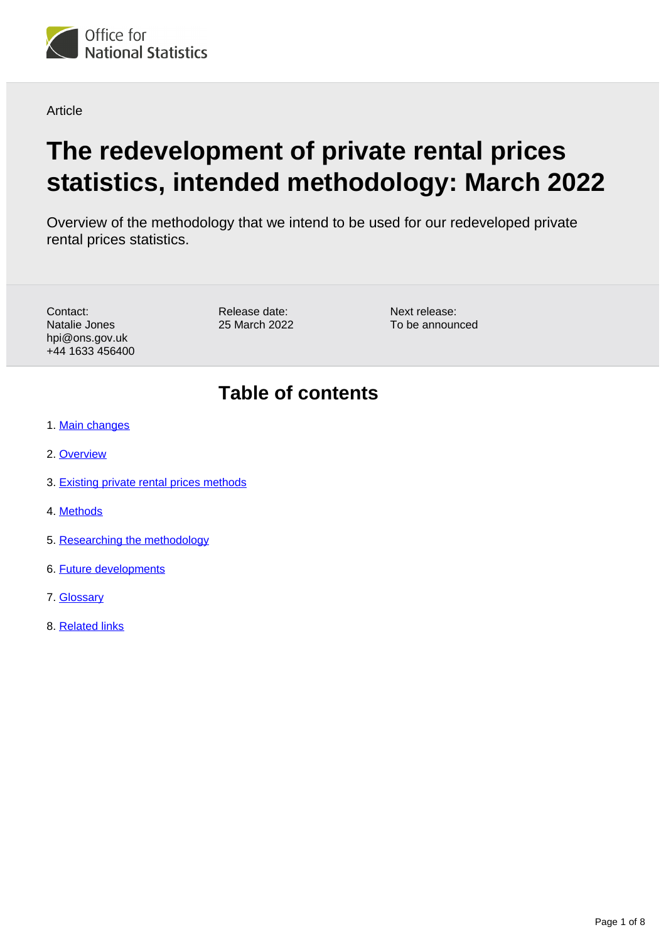

Article

# **The redevelopment of private rental prices statistics, intended methodology: March 2022**

Overview of the methodology that we intend to be used for our redeveloped private rental prices statistics.

| Contact:        | Release da |
|-----------------|------------|
| Natalie Jones   | 25 March 2 |
| hpi@ons.gov.uk  |            |
| +44 1633 456400 |            |
|                 |            |

ate:  $2022$  Next release: To be announced

## **Table of contents**

- 1. [Main changes](#page-1-0)
- 2. [Overview](#page-1-1)
- 3. [Existing private rental prices methods](#page-1-2)
- 4. [Methods](#page-2-0)
- 5. [Researching the methodology](#page-5-0)
- 6. [Future developments](#page-6-0)
- 7. [Glossary](#page-6-1)
- 8. [Related links](#page-7-0)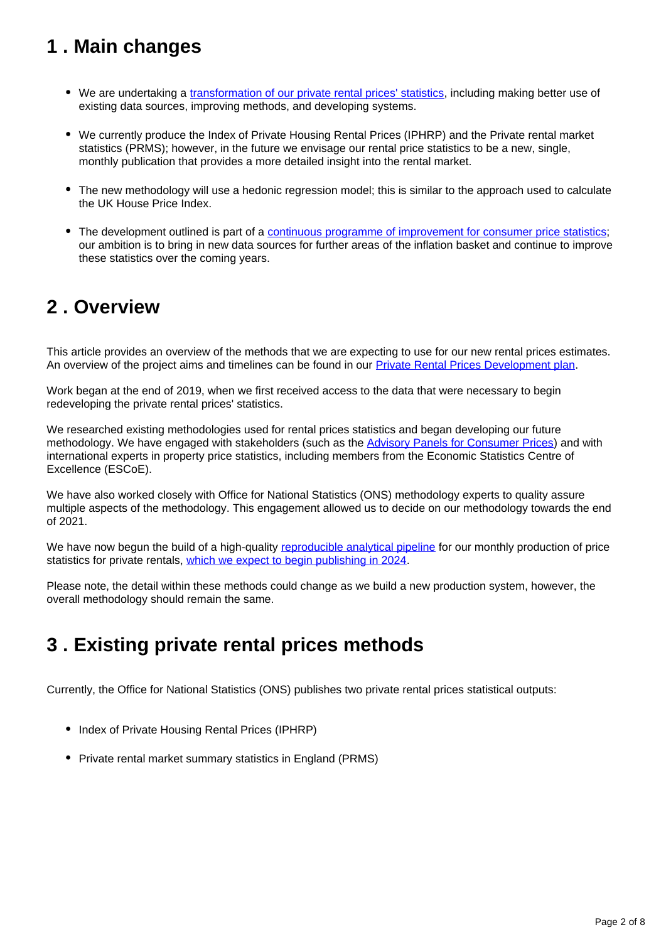## <span id="page-1-0"></span>**1 . Main changes**

- We are undertaking a [transformation of our private rental prices' statistics](https://www.ons.gov.uk/peoplepopulationandcommunity/housing/articles/privaterentalpricesdevelopmentplan/updatedfebruary2022), including making better use of existing data sources, improving methods, and developing systems.
- We currently produce the Index of Private Housing Rental Prices (IPHRP) and the Private rental market statistics (PRMS); however, in the future we envisage our rental price statistics to be a new, single, monthly publication that provides a more detailed insight into the rental market.
- The new methodology will use a hedonic regression model; this is similar to the approach used to calculate the UK House Price Index.
- The development outlined is part of a [continuous programme of improvement for consumer price statistics](https://www.ons.gov.uk/economy/inflationandpriceindices/articles/introducingalternativedatasourcesintoconsumerpricestatistics/november2021): our ambition is to bring in new data sources for further areas of the inflation basket and continue to improve these statistics over the coming years.

## <span id="page-1-1"></span>**2 . Overview**

This article provides an overview of the methods that we are expecting to use for our new rental prices estimates. An overview of the project aims and timelines can be found in our [Private Rental Prices Development plan](https://www.ons.gov.uk/peoplepopulationandcommunity/housing/articles/privaterentalpricesdevelopmentplan/updatedfebruary2022).

Work began at the end of 2019, when we first received access to the data that were necessary to begin redeveloping the private rental prices' statistics.

We researched existing methodologies used for rental prices statistics and began developing our future methodology. We have engaged with stakeholders (such as the **Advisory Panels for Consumer Prices**) and with international experts in property price statistics, including members from the Economic Statistics Centre of Excellence (ESCoE).

We have also worked closely with Office for National Statistics (ONS) methodology experts to quality assure multiple aspects of the methodology. This engagement allowed us to decide on our methodology towards the end of 2021.

We have now begun the build of a high-quality [reproducible analytical pipeline](https://gss.civilservice.gov.uk/reproducible-analytical-pipelines/) for our monthly production of price statistics for private rentals, [which we expect to begin publishing in 2024.](https://www.ons.gov.uk/peoplepopulationandcommunity/housing/articles/privaterentalpricesdevelopmentplan/updatedfebruary2022#timeline-for-development)

Please note, the detail within these methods could change as we build a new production system, however, the overall methodology should remain the same.

## <span id="page-1-2"></span>**3 . Existing private rental prices methods**

Currently, the Office for National Statistics (ONS) publishes two private rental prices statistical outputs:

- Index of Private Housing Rental Prices (IPHRP)
- Private rental market summary statistics in England (PRMS)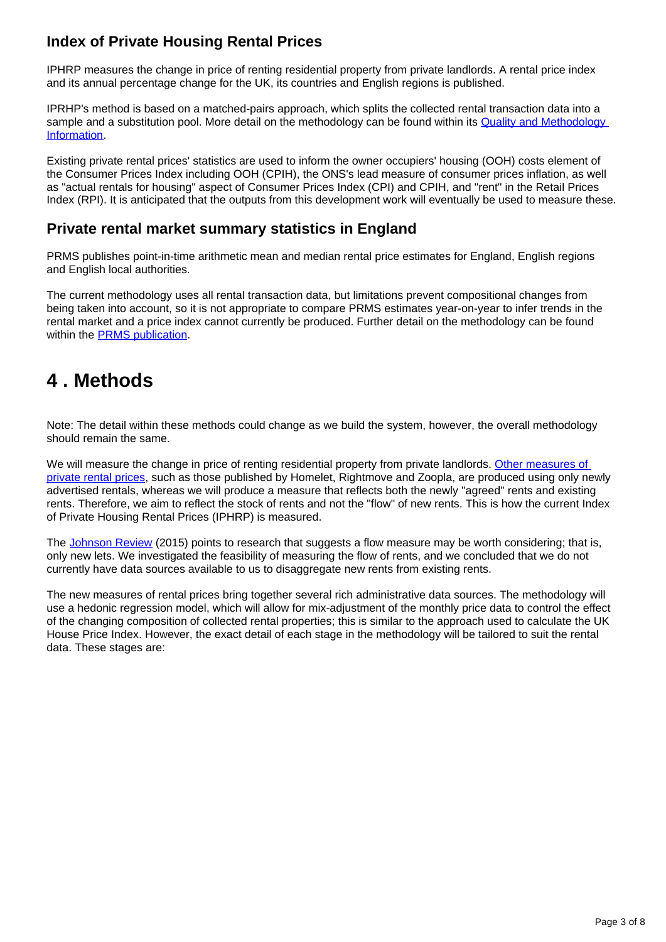### **Index of Private Housing Rental Prices**

IPHRP measures the change in price of renting residential property from private landlords. A rental price index and its annual percentage change for the UK, its countries and English regions is published.

IPRHP's method is based on a matched-pairs approach, which splits the collected rental transaction data into a sample and a substitution pool. More detail on the methodology can be found within its Quality and Methodology [Information](https://www.ons.gov.uk/economy/inflationandpriceindices/methodologies/indexofprivatehousingrentalpricesqmi).

Existing private rental prices' statistics are used to inform the owner occupiers' housing (OOH) costs element of the Consumer Prices Index including OOH (CPIH), the ONS's lead measure of consumer prices inflation, as well as "actual rentals for housing" aspect of Consumer Prices Index (CPI) and CPIH, and "rent" in the Retail Prices Index (RPI). It is anticipated that the outputs from this development work will eventually be used to measure these.

#### **Private rental market summary statistics in England**

PRMS publishes point-in-time arithmetic mean and median rental price estimates for England, English regions and English local authorities.

The current methodology uses all rental transaction data, but limitations prevent compositional changes from being taken into account, so it is not appropriate to compare PRMS estimates year-on-year to infer trends in the rental market and a price index cannot currently be produced. Further detail on the methodology can be found within the **PRMS** publication.

## <span id="page-2-0"></span>**4 . Methods**

Note: The detail within these methods could change as we build the system, however, the overall methodology should remain the same.

We will measure the change in price of renting residential property from private landlords. Other measures of [private rental prices,](https://www.ons.gov.uk/economy/inflationandpriceindices/articles/comparingmeasuresofprivaterentalgrowthintheuk/januarytodecember2021) such as those published by Homelet, Rightmove and Zoopla, are produced using only newly advertised rentals, whereas we will produce a measure that reflects both the newly "agreed" rents and existing rents. Therefore, we aim to reflect the stock of rents and not the "flow" of new rents. This is how the current Index of Private Housing Rental Prices (IPHRP) is measured.

The [Johnson Review](https://www.statisticsauthority.gov.uk/reports-and-correspondence/reviews/uk-consumer-price-statistics-a-review/) (2015) points to research that suggests a flow measure may be worth considering; that is, only new lets. We investigated the feasibility of measuring the flow of rents, and we concluded that we do not currently have data sources available to us to disaggregate new rents from existing rents.

The new measures of rental prices bring together several rich administrative data sources. The methodology will use a hedonic regression model, which will allow for mix-adjustment of the monthly price data to control the effect of the changing composition of collected rental properties; this is similar to the approach used to calculate the UK House Price Index. However, the exact detail of each stage in the methodology will be tailored to suit the rental data. These stages are: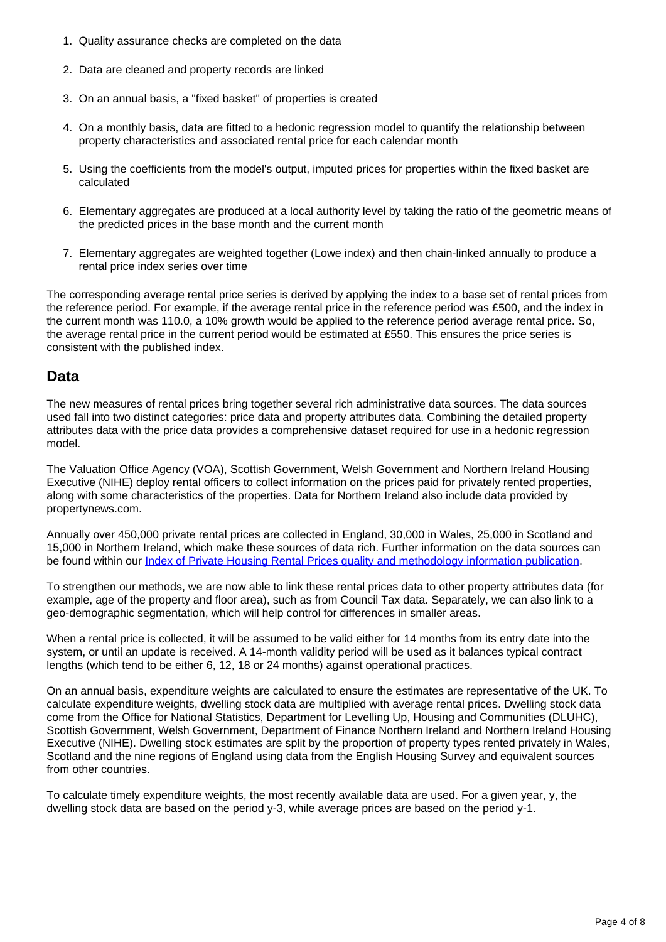- 1. Quality assurance checks are completed on the data
- 2. Data are cleaned and property records are linked
- 3. On an annual basis, a "fixed basket" of properties is created
- 4. On a monthly basis, data are fitted to a hedonic regression model to quantify the relationship between property characteristics and associated rental price for each calendar month
- 5. Using the coefficients from the model's output, imputed prices for properties within the fixed basket are calculated
- 6. Elementary aggregates are produced at a local authority level by taking the ratio of the geometric means of the predicted prices in the base month and the current month
- 7. Elementary aggregates are weighted together (Lowe index) and then chain-linked annually to produce a rental price index series over time

The corresponding average rental price series is derived by applying the index to a base set of rental prices from the reference period. For example, if the average rental price in the reference period was £500, and the index in the current month was 110.0, a 10% growth would be applied to the reference period average rental price. So, the average rental price in the current period would be estimated at £550. This ensures the price series is consistent with the published index.

#### **Data**

The new measures of rental prices bring together several rich administrative data sources. The data sources used fall into two distinct categories: price data and property attributes data. Combining the detailed property attributes data with the price data provides a comprehensive dataset required for use in a hedonic regression model.

The Valuation Office Agency (VOA), Scottish Government, Welsh Government and Northern Ireland Housing Executive (NIHE) deploy rental officers to collect information on the prices paid for privately rented properties, along with some characteristics of the properties. Data for Northern Ireland also include data provided by propertynews.com.

Annually over 450,000 private rental prices are collected in England, 30,000 in Wales, 25,000 in Scotland and 15,000 in Northern Ireland, which make these sources of data rich. Further information on the data sources can be found within our *[Index of Private Housing Rental Prices quality and methodology information publication](https://www.ons.gov.uk/economy/inflationandpriceindices/methodologies/indexofprivatehousingrentalpricesqmi#methods-used-to-produce-the-iphrp-data)*.

To strengthen our methods, we are now able to link these rental prices data to other property attributes data (for example, age of the property and floor area), such as from Council Tax data. Separately, we can also link to a geo-demographic segmentation, which will help control for differences in smaller areas.

When a rental price is collected, it will be assumed to be valid either for 14 months from its entry date into the system, or until an update is received. A 14-month validity period will be used as it balances typical contract lengths (which tend to be either 6, 12, 18 or 24 months) against operational practices.

On an annual basis, expenditure weights are calculated to ensure the estimates are representative of the UK. To calculate expenditure weights, dwelling stock data are multiplied with average rental prices. Dwelling stock data come from the Office for National Statistics, Department for Levelling Up, Housing and Communities (DLUHC), Scottish Government, Welsh Government, Department of Finance Northern Ireland and Northern Ireland Housing Executive (NIHE). Dwelling stock estimates are split by the proportion of property types rented privately in Wales, Scotland and the nine regions of England using data from the English Housing Survey and equivalent sources from other countries.

To calculate timely expenditure weights, the most recently available data are used. For a given year, y, the dwelling stock data are based on the period y-3, while average prices are based on the period y-1.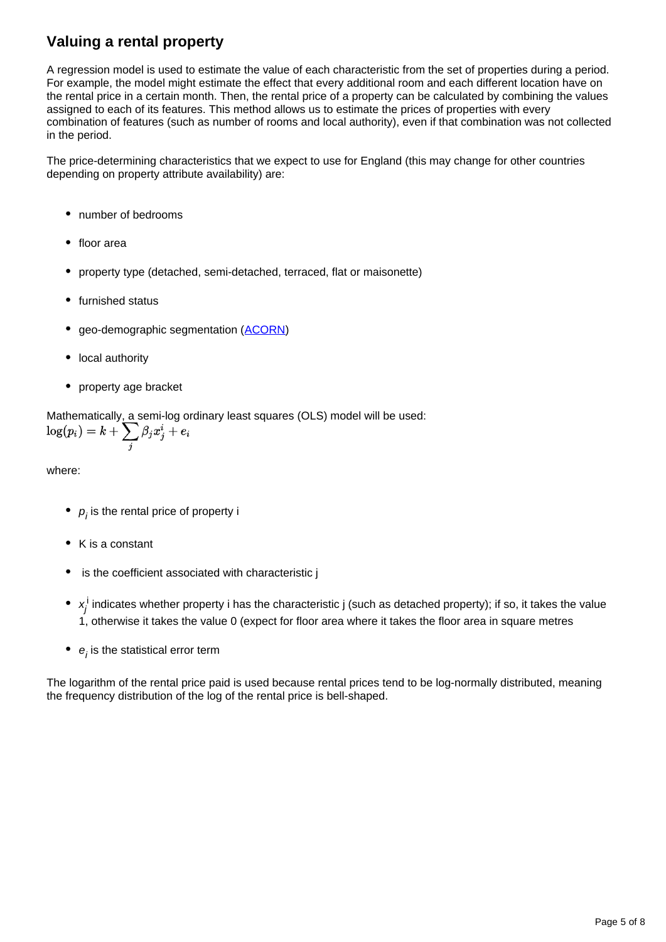## **Valuing a rental property**

A regression model is used to estimate the value of each characteristic from the set of properties during a period. For example, the model might estimate the effect that every additional room and each different location have on the rental price in a certain month. Then, the rental price of a property can be calculated by combining the values assigned to each of its features. This method allows us to estimate the prices of properties with every combination of features (such as number of rooms and local authority), even if that combination was not collected in the period.

The price-determining characteristics that we expect to use for England (this may change for other countries depending on property attribute availability) are:

- number of bedrooms
- floor area
- property type (detached, semi-detached, terraced, flat or maisonette)
- furnished status
- geo-demographic segmentation ([ACORN](https://acorn.caci.co.uk/))
- local authority
- property age bracket

Mathematically, a semi-log ordinary least squares (OLS) model will be used:

$$
\log(p_i) = k + \sum_j \beta_j x^i_j + e_i
$$

where:

- $\rho_{_{\vphantom{\overline{J}}}}$  is the rental price of property i
- $\bullet$  K is a constant
- is the coefficient associated with characteristic i
- $x_j^{\rm i}$  indicates whether property i has the characteristic j (such as detached property); if so, it takes the value 1, otherwise it takes the value 0 (expect for floor area where it takes the floor area in square metres
- $e_i$  is the statistical error term

The logarithm of the rental price paid is used because rental prices tend to be log-normally distributed, meaning the frequency distribution of the log of the rental price is bell-shaped.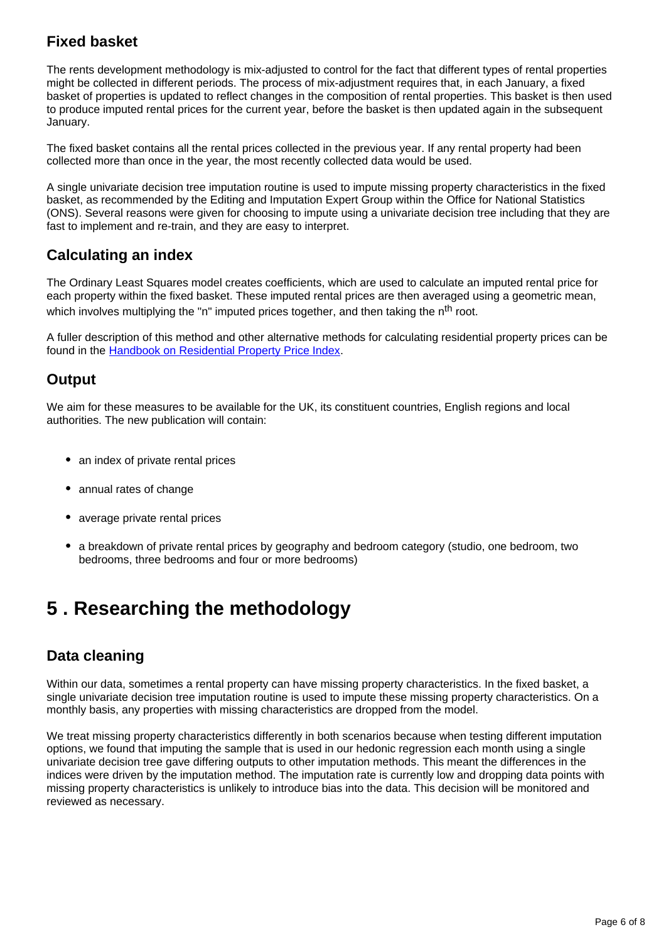### **Fixed basket**

The rents development methodology is mix-adjusted to control for the fact that different types of rental properties might be collected in different periods. The process of mix-adjustment requires that, in each January, a fixed basket of properties is updated to reflect changes in the composition of rental properties. This basket is then used to produce imputed rental prices for the current year, before the basket is then updated again in the subsequent January.

The fixed basket contains all the rental prices collected in the previous year. If any rental property had been collected more than once in the year, the most recently collected data would be used.

A single univariate decision tree imputation routine is used to impute missing property characteristics in the fixed basket, as recommended by the Editing and Imputation Expert Group within the Office for National Statistics (ONS). Several reasons were given for choosing to impute using a univariate decision tree including that they are fast to implement and re-train, and they are easy to interpret.

#### **Calculating an index**

The Ordinary Least Squares model creates coefficients, which are used to calculate an imputed rental price for each property within the fixed basket. These imputed rental prices are then averaged using a geometric mean, which involves multiplying the "n" imputed prices together, and then taking the  $n<sup>th</sup>$  root.

A fuller description of this method and other alternative methods for calculating residential property prices can be found in the [Handbook on Residential Property Price Index](http://www.oecd-ilibrary.org/economics/handbook-on-residential-property-price-indices_9789264197183-en).

#### **Output**

We aim for these measures to be available for the UK, its constituent countries, English regions and local authorities. The new publication will contain:

- an index of private rental prices
- annual rates of change
- average private rental prices
- a breakdown of private rental prices by geography and bedroom category (studio, one bedroom, two bedrooms, three bedrooms and four or more bedrooms)

## <span id="page-5-0"></span>**5 . Researching the methodology**

### **Data cleaning**

Within our data, sometimes a rental property can have missing property characteristics. In the fixed basket, a single univariate decision tree imputation routine is used to impute these missing property characteristics. On a monthly basis, any properties with missing characteristics are dropped from the model.

We treat missing property characteristics differently in both scenarios because when testing different imputation options, we found that imputing the sample that is used in our hedonic regression each month using a single univariate decision tree gave differing outputs to other imputation methods. This meant the differences in the indices were driven by the imputation method. The imputation rate is currently low and dropping data points with missing property characteristics is unlikely to introduce bias into the data. This decision will be monitored and reviewed as necessary.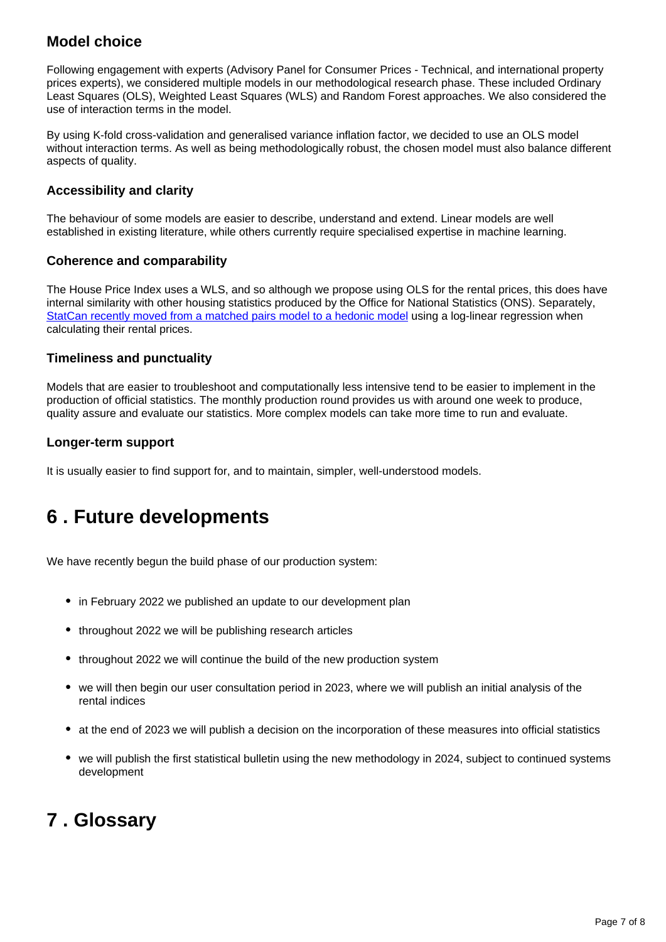### **Model choice**

Following engagement with experts (Advisory Panel for Consumer Prices - Technical, and international property prices experts), we considered multiple models in our methodological research phase. These included Ordinary Least Squares (OLS), Weighted Least Squares (WLS) and Random Forest approaches. We also considered the use of interaction terms in the model.

By using K-fold cross-validation and generalised variance inflation factor, we decided to use an OLS model without interaction terms. As well as being methodologically robust, the chosen model must also balance different aspects of quality.

#### **Accessibility and clarity**

The behaviour of some models are easier to describe, understand and extend. Linear models are well established in existing literature, while others currently require specialised expertise in machine learning.

#### **Coherence and comparability**

The House Price Index uses a WLS, and so although we propose using OLS for the rental prices, this does have internal similarity with other housing statistics produced by the Office for National Statistics (ONS). Separately, [StatCan recently moved from a matched pairs model to a hedonic model](https://www150.statcan.gc.ca/n1/pub/62f0014m/62f0014m2019002-eng.htm) using a log-linear regression when calculating their rental prices.

#### **Timeliness and punctuality**

Models that are easier to troubleshoot and computationally less intensive tend to be easier to implement in the production of official statistics. The monthly production round provides us with around one week to produce, quality assure and evaluate our statistics. More complex models can take more time to run and evaluate.

#### **Longer-term support**

It is usually easier to find support for, and to maintain, simpler, well-understood models.

## <span id="page-6-0"></span>**6 . Future developments**

We have recently begun the build phase of our production system:

- in February 2022 we published an update to our development plan
- throughout 2022 we will be publishing research articles
- throughout 2022 we will continue the build of the new production system
- we will then begin our user consultation period in 2023, where we will publish an initial analysis of the rental indices
- at the end of 2023 we will publish a decision on the incorporation of these measures into official statistics
- we will publish the first statistical bulletin using the new methodology in 2024, subject to continued systems development

## <span id="page-6-1"></span>**7 . Glossary**